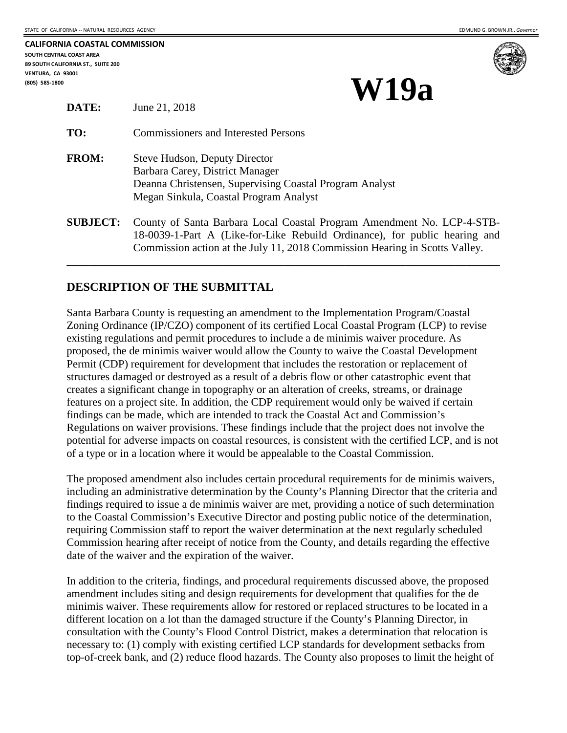| CALIFORNIA COASTAL COMMISSION      |
|------------------------------------|
| SOUTH CENTRAL COAST AREA           |
| 89 SOUTH CALIFORNIA ST., SUITE 200 |
| <b>VENTURA. CA 93001</b>           |
| (805) 585-1800                     |



# **(BATE:** Iune 21, 2018) **W19a**

|                 | $3412 + 1.2910$                                                                                                                                                                                                                     |
|-----------------|-------------------------------------------------------------------------------------------------------------------------------------------------------------------------------------------------------------------------------------|
| TO:             | <b>Commissioners and Interested Persons</b>                                                                                                                                                                                         |
| <b>FROM:</b>    | <b>Steve Hudson, Deputy Director</b><br>Barbara Carey, District Manager<br>Deanna Christensen, Supervising Coastal Program Analyst<br>Megan Sinkula, Coastal Program Analyst                                                        |
| <b>SUBJECT:</b> | County of Santa Barbara Local Coastal Program Amendment No. LCP-4-STB-<br>18-0039-1-Part A (Like-for-Like Rebuild Ordinance), for public hearing and<br>Commission action at the July 11, 2018 Commission Hearing in Scotts Valley. |

**\_\_\_\_\_\_\_\_\_\_\_\_\_\_\_\_\_\_\_\_\_\_\_\_\_\_\_\_\_\_\_\_\_\_\_\_\_\_\_\_\_\_\_\_\_\_\_\_\_\_\_\_\_\_\_\_\_\_\_\_\_\_\_\_\_\_\_\_\_\_\_\_\_\_\_\_\_\_** 

## **DESCRIPTION OF THE SUBMITTAL**

**Lune 21, 2018** 

Santa Barbara County is requesting an amendment to the Implementation Program/Coastal Zoning Ordinance (IP/CZO) component of its certified Local Coastal Program (LCP) to revise existing regulations and permit procedures to include a de minimis waiver procedure. As proposed, the de minimis waiver would allow the County to waive the Coastal Development Permit (CDP) requirement for development that includes the restoration or replacement of structures damaged or destroyed as a result of a debris flow or other catastrophic event that creates a significant change in topography or an alteration of creeks, streams, or drainage features on a project site. In addition, the CDP requirement would only be waived if certain findings can be made, which are intended to track the Coastal Act and Commission's Regulations on waiver provisions. These findings include that the project does not involve the potential for adverse impacts on coastal resources, is consistent with the certified LCP, and is not of a type or in a location where it would be appealable to the Coastal Commission.

The proposed amendment also includes certain procedural requirements for de minimis waivers, including an administrative determination by the County's Planning Director that the criteria and findings required to issue a de minimis waiver are met, providing a notice of such determination to the Coastal Commission's Executive Director and posting public notice of the determination, requiring Commission staff to report the waiver determination at the next regularly scheduled Commission hearing after receipt of notice from the County, and details regarding the effective date of the waiver and the expiration of the waiver.

In addition to the criteria, findings, and procedural requirements discussed above, the proposed amendment includes siting and design requirements for development that qualifies for the de minimis waiver. These requirements allow for restored or replaced structures to be located in a different location on a lot than the damaged structure if the County's Planning Director, in consultation with the County's Flood Control District, makes a determination that relocation is necessary to: (1) comply with existing certified LCP standards for development setbacks from top-of-creek bank, and (2) reduce flood hazards. The County also proposes to limit the height of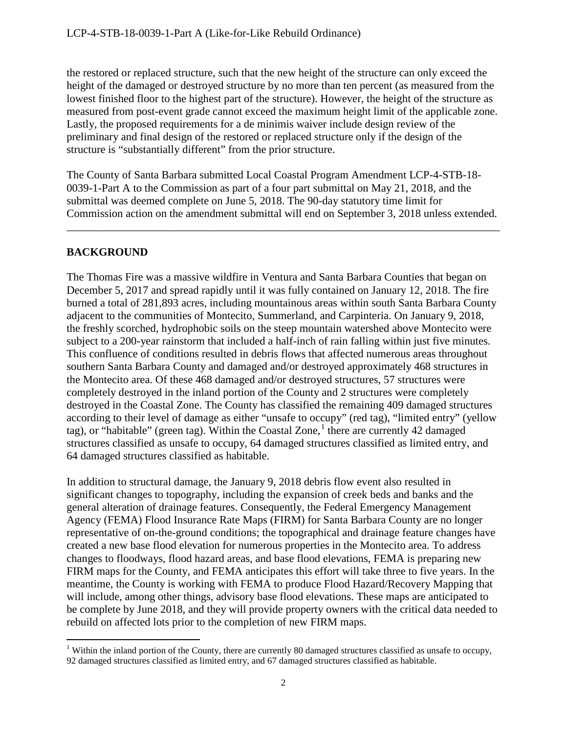the restored or replaced structure, such that the new height of the structure can only exceed the height of the damaged or destroyed structure by no more than ten percent (as measured from the lowest finished floor to the highest part of the structure). However, the height of the structure as measured from post-event grade cannot exceed the maximum height limit of the applicable zone. Lastly, the proposed requirements for a de minimis waiver include design review of the preliminary and final design of the restored or replaced structure only if the design of the structure is "substantially different" from the prior structure.

The County of Santa Barbara submitted Local Coastal Program Amendment LCP-4-STB-18- 0039-1-Part A to the Commission as part of a four part submittal on May 21, 2018, and the submittal was deemed complete on June 5, 2018. The 90-day statutory time limit for Commission action on the amendment submittal will end on September 3, 2018 unless extended.

\_\_\_\_\_\_\_\_\_\_\_\_\_\_\_\_\_\_\_\_\_\_\_\_\_\_\_\_\_\_\_\_\_\_\_\_\_\_\_\_\_\_\_\_\_\_\_\_\_\_\_\_\_\_\_\_\_\_\_\_\_\_\_\_\_\_\_\_\_\_\_\_\_\_\_\_\_\_

## **BACKGROUND**

The Thomas Fire was a massive wildfire in Ventura and Santa Barbara Counties that began on December 5, 2017 and spread rapidly until it was fully contained on January 12, 2018. The fire burned a total of 281,893 acres, including mountainous areas within south Santa Barbara County adjacent to the communities of Montecito, Summerland, and Carpinteria. On January 9, 2018, the freshly scorched, hydrophobic soils on the steep mountain watershed above Montecito were subject to a 200-year rainstorm that included a half-inch of rain falling within just five minutes. This confluence of conditions resulted in debris flows that affected numerous areas throughout southern Santa Barbara County and damaged and/or destroyed approximately 468 structures in the Montecito area. Of these 468 damaged and/or destroyed structures, 57 structures were completely destroyed in the inland portion of the County and 2 structures were completely destroyed in the Coastal Zone. The County has classified the remaining 409 damaged structures according to their level of damage as either "unsafe to occupy" (red tag), "limited entry" (yellow tag), or "habitable" (green tag). Within the Coastal Zone,<sup>[1](#page-1-0)</sup> there are currently 42 damaged structures classified as unsafe to occupy, 64 damaged structures classified as limited entry, and 64 damaged structures classified as habitable.

In addition to structural damage, the January 9, 2018 debris flow event also resulted in significant changes to topography, including the expansion of creek beds and banks and the general alteration of drainage features. Consequently, the Federal Emergency Management Agency (FEMA) Flood Insurance Rate Maps (FIRM) for Santa Barbara County are no longer representative of on-the-ground conditions; the topographical and drainage feature changes have created a new base flood elevation for numerous properties in the Montecito area. To address changes to floodways, flood hazard areas, and base flood elevations, FEMA is preparing new FIRM maps for the County, and FEMA anticipates this effort will take three to five years. In the meantime, the County is working with FEMA to produce Flood Hazard/Recovery Mapping that will include, among other things, advisory base flood elevations. These maps are anticipated to be complete by June 2018, and they will provide property owners with the critical data needed to rebuild on affected lots prior to the completion of new FIRM maps.

<span id="page-1-0"></span> $\overline{a}$ <sup>1</sup> Within the inland portion of the County, there are currently 80 damaged structures classified as unsafe to occupy, 92 damaged structures classified as limited entry, and 67 damaged structures classified as habitable.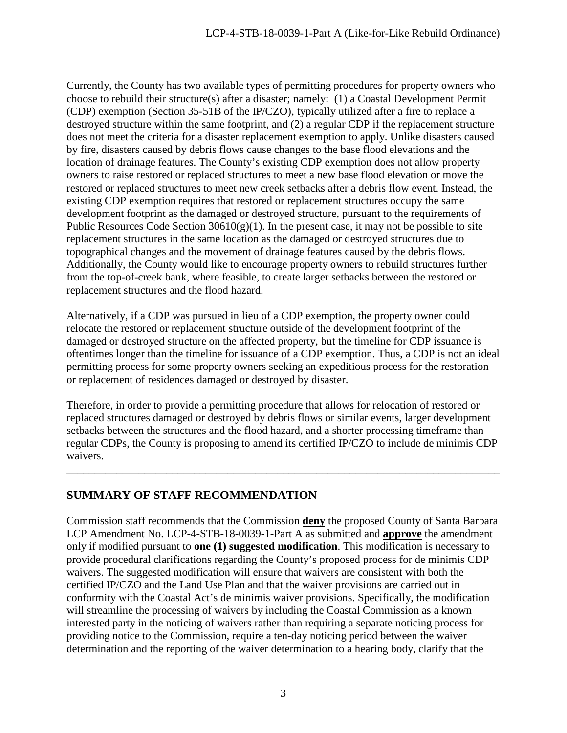Currently, the County has two available types of permitting procedures for property owners who choose to rebuild their structure(s) after a disaster; namely: (1) a Coastal Development Permit (CDP) exemption (Section 35-51B of the IP/CZO), typically utilized after a fire to replace a destroyed structure within the same footprint, and (2) a regular CDP if the replacement structure does not meet the criteria for a disaster replacement exemption to apply. Unlike disasters caused by fire, disasters caused by debris flows cause changes to the base flood elevations and the location of drainage features. The County's existing CDP exemption does not allow property owners to raise restored or replaced structures to meet a new base flood elevation or move the restored or replaced structures to meet new creek setbacks after a debris flow event. Instead, the existing CDP exemption requires that restored or replacement structures occupy the same development footprint as the damaged or destroyed structure, pursuant to the requirements of Public Resources Code Section  $30610(g)(1)$ . In the present case, it may not be possible to site replacement structures in the same location as the damaged or destroyed structures due to topographical changes and the movement of drainage features caused by the debris flows. Additionally, the County would like to encourage property owners to rebuild structures further from the top-of-creek bank, where feasible, to create larger setbacks between the restored or replacement structures and the flood hazard.

Alternatively, if a CDP was pursued in lieu of a CDP exemption, the property owner could relocate the restored or replacement structure outside of the development footprint of the damaged or destroyed structure on the affected property, but the timeline for CDP issuance is oftentimes longer than the timeline for issuance of a CDP exemption. Thus, a CDP is not an ideal permitting process for some property owners seeking an expeditious process for the restoration or replacement of residences damaged or destroyed by disaster.

Therefore, in order to provide a permitting procedure that allows for relocation of restored or replaced structures damaged or destroyed by debris flows or similar events, larger development setbacks between the structures and the flood hazard, and a shorter processing timeframe than regular CDPs, the County is proposing to amend its certified IP/CZO to include de minimis CDP waivers.

\_\_\_\_\_\_\_\_\_\_\_\_\_\_\_\_\_\_\_\_\_\_\_\_\_\_\_\_\_\_\_\_\_\_\_\_\_\_\_\_\_\_\_\_\_\_\_\_\_\_\_\_\_\_\_\_\_\_\_\_\_\_\_\_\_\_\_\_\_\_\_\_\_\_\_\_\_\_

## **SUMMARY OF STAFF RECOMMENDATION**

Commission staff recommends that the Commission **deny** the proposed County of Santa Barbara LCP Amendment No. LCP-4-STB-18-0039-1-Part A as submitted and **approve** the amendment only if modified pursuant to **one (1) suggested modification**. This modification is necessary to provide procedural clarifications regarding the County's proposed process for de minimis CDP waivers. The suggested modification will ensure that waivers are consistent with both the certified IP/CZO and the Land Use Plan and that the waiver provisions are carried out in conformity with the Coastal Act's de minimis waiver provisions. Specifically, the modification will streamline the processing of waivers by including the Coastal Commission as a known interested party in the noticing of waivers rather than requiring a separate noticing process for providing notice to the Commission, require a ten-day noticing period between the waiver determination and the reporting of the waiver determination to a hearing body, clarify that the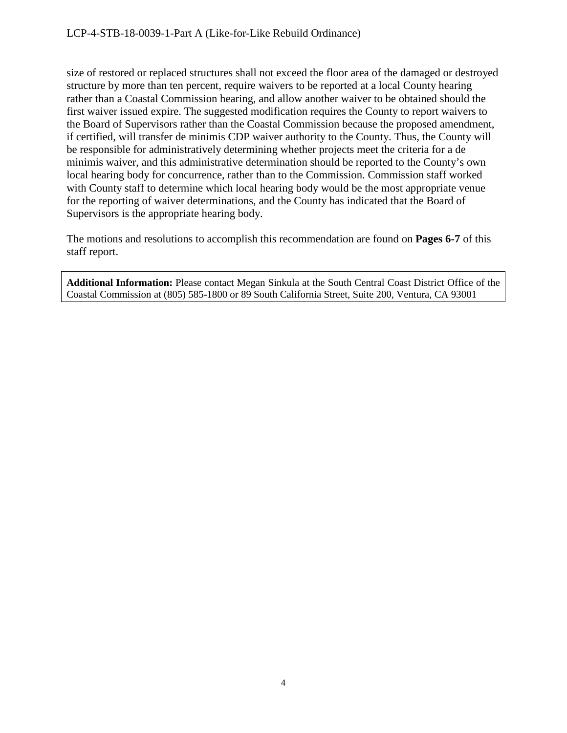size of restored or replaced structures shall not exceed the floor area of the damaged or destroyed structure by more than ten percent, require waivers to be reported at a local County hearing rather than a Coastal Commission hearing, and allow another waiver to be obtained should the first waiver issued expire. The suggested modification requires the County to report waivers to the Board of Supervisors rather than the Coastal Commission because the proposed amendment, if certified, will transfer de minimis CDP waiver authority to the County. Thus, the County will be responsible for administratively determining whether projects meet the criteria for a de minimis waiver, and this administrative determination should be reported to the County's own local hearing body for concurrence, rather than to the Commission. Commission staff worked with County staff to determine which local hearing body would be the most appropriate venue for the reporting of waiver determinations, and the County has indicated that the Board of Supervisors is the appropriate hearing body.

The motions and resolutions to accomplish this recommendation are found on **Pages 6-7** of this staff report.

**Additional Information:** Please contact Megan Sinkula at the South Central Coast District Office of the Coastal Commission at (805) 585-1800 or 89 South California Street, Suite 200, Ventura, CA 93001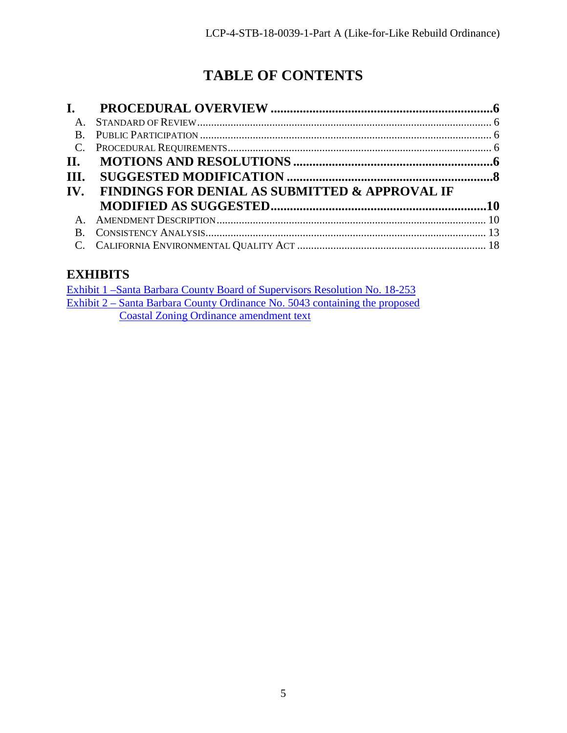## **TABLE OF CONTENTS**

| $\mathbf{L}$             |                                                           |  |
|--------------------------|-----------------------------------------------------------|--|
| $\mathsf{A}$             |                                                           |  |
| <b>B</b> .               |                                                           |  |
| $C_{\cdot}$              |                                                           |  |
| II.                      |                                                           |  |
| III.                     |                                                           |  |
| $\mathbf{IV}_{\text{-}}$ | <b>FINDINGS FOR DENIAL AS SUBMITTED &amp; APPROVAL IF</b> |  |
|                          |                                                           |  |
| $\mathsf{A}$             |                                                           |  |
| $\bf{B}$                 |                                                           |  |
|                          |                                                           |  |

## <span id="page-4-0"></span>**EXHIBITS**

| Exhibit 1 – Santa Barbara County Board of Supervisors Resolution No. 18-253 |
|-----------------------------------------------------------------------------|
| Exhibit 2 – Santa Barbara County Ordinance No. 5043 containing the proposed |
| <b>Coastal Zoning Ordinance amendment text</b>                              |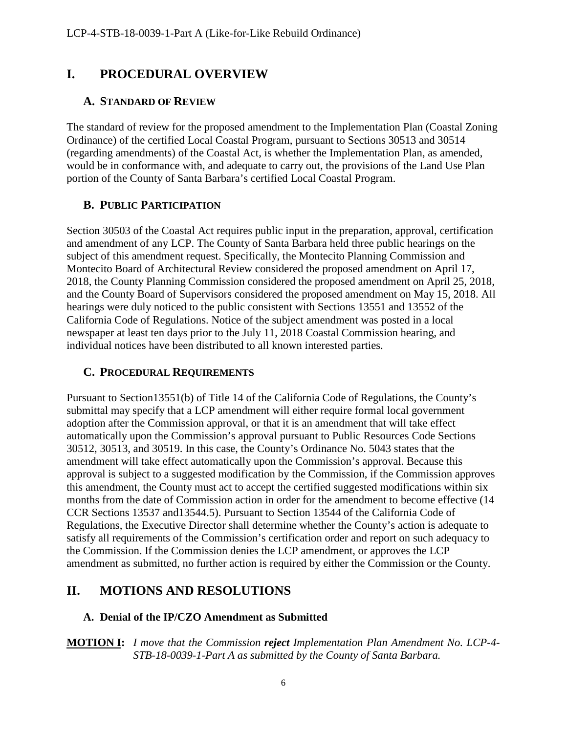## <span id="page-5-0"></span>**I. PROCEDURAL OVERVIEW**

## <span id="page-5-1"></span>**A. STANDARD OF REVIEW**

The standard of review for the proposed amendment to the Implementation Plan (Coastal Zoning Ordinance) of the certified Local Coastal Program, pursuant to Sections 30513 and 30514 (regarding amendments) of the Coastal Act, is whether the Implementation Plan, as amended, would be in conformance with, and adequate to carry out, the provisions of the Land Use Plan portion of the County of Santa Barbara's certified Local Coastal Program.

## <span id="page-5-2"></span>**B. PUBLIC PARTICIPATION**

Section 30503 of the Coastal Act requires public input in the preparation, approval, certification and amendment of any LCP. The County of Santa Barbara held three public hearings on the subject of this amendment request. Specifically, the Montecito Planning Commission and Montecito Board of Architectural Review considered the proposed amendment on April 17, 2018, the County Planning Commission considered the proposed amendment on April 25, 2018, and the County Board of Supervisors considered the proposed amendment on May 15, 2018. All hearings were duly noticed to the public consistent with Sections 13551 and 13552 of the California Code of Regulations. Notice of the subject amendment was posted in a local newspaper at least ten days prior to the July 11, 2018 Coastal Commission hearing, and individual notices have been distributed to all known interested parties.

## <span id="page-5-3"></span>**C. PROCEDURAL REQUIREMENTS**

Pursuant to Section13551(b) of Title 14 of the California Code of Regulations, the County's submittal may specify that a LCP amendment will either require formal local government adoption after the Commission approval, or that it is an amendment that will take effect automatically upon the Commission's approval pursuant to Public Resources Code Sections 30512, 30513, and 30519. In this case, the County's Ordinance No. 5043 states that the amendment will take effect automatically upon the Commission's approval. Because this approval is subject to a suggested modification by the Commission, if the Commission approves this amendment, the County must act to accept the certified suggested modifications within six months from the date of Commission action in order for the amendment to become effective (14 CCR Sections 13537 and13544.5). Pursuant to Section 13544 of the California Code of Regulations, the Executive Director shall determine whether the County's action is adequate to satisfy all requirements of the Commission's certification order and report on such adequacy to the Commission. If the Commission denies the LCP amendment, or approves the LCP amendment as submitted, no further action is required by either the Commission or the County.

## <span id="page-5-4"></span>**II. MOTIONS AND RESOLUTIONS**

## **A. Denial of the IP/CZO Amendment as Submitted**

**MOTION I:** *I move that the Commission reject Implementation Plan Amendment No. LCP-4- STB-18-0039-1-Part A as submitted by the County of Santa Barbara.*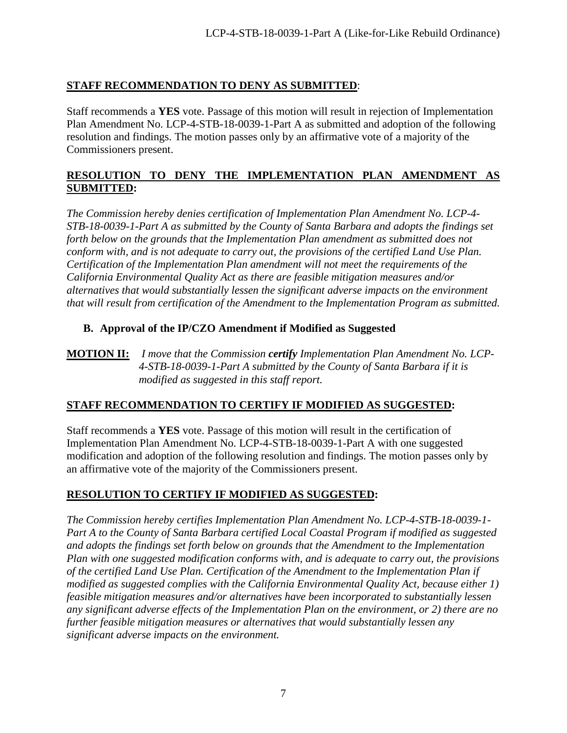## **STAFF RECOMMENDATION TO DENY AS SUBMITTED**:

Staff recommends a **YES** vote. Passage of this motion will result in rejection of Implementation Plan Amendment No. LCP-4-STB-18-0039-1-Part A as submitted and adoption of the following resolution and findings. The motion passes only by an affirmative vote of a majority of the Commissioners present.

## **RESOLUTION TO DENY THE IMPLEMENTATION PLAN AMENDMENT AS SUBMITTED:**

*The Commission hereby denies certification of Implementation Plan Amendment No. LCP-4- STB-18-0039-1-Part A as submitted by the County of Santa Barbara and adopts the findings set forth below on the grounds that the Implementation Plan amendment as submitted does not conform with, and is not adequate to carry out, the provisions of the certified Land Use Plan. Certification of the Implementation Plan amendment will not meet the requirements of the California Environmental Quality Act as there are feasible mitigation measures and/or alternatives that would substantially lessen the significant adverse impacts on the environment that will result from certification of the Amendment to the Implementation Program as submitted.* 

## **B. Approval of the IP/CZO Amendment if Modified as Suggested**

## **MOTION II:** *I move that the Commission certify Implementation Plan Amendment No. LCP- 4-STB-18-0039-1-Part A submitted by the County of Santa Barbara if it is modified as suggested in this staff report.*

## **STAFF RECOMMENDATION TO CERTIFY IF MODIFIED AS SUGGESTED:**

Staff recommends a **YES** vote. Passage of this motion will result in the certification of Implementation Plan Amendment No. LCP-4-STB-18-0039-1-Part A with one suggested modification and adoption of the following resolution and findings. The motion passes only by an affirmative vote of the majority of the Commissioners present.

## **RESOLUTION TO CERTIFY IF MODIFIED AS SUGGESTED:**

*The Commission hereby certifies Implementation Plan Amendment No. LCP-4-STB-18-0039-1- Part A to the County of Santa Barbara certified Local Coastal Program if modified as suggested and adopts the findings set forth below on grounds that the Amendment to the Implementation Plan with one suggested modification conforms with, and is adequate to carry out, the provisions of the certified Land Use Plan. Certification of the Amendment to the Implementation Plan if modified as suggested complies with the California Environmental Quality Act, because either 1) feasible mitigation measures and/or alternatives have been incorporated to substantially lessen any significant adverse effects of the Implementation Plan on the environment, or 2) there are no further feasible mitigation measures or alternatives that would substantially lessen any significant adverse impacts on the environment.*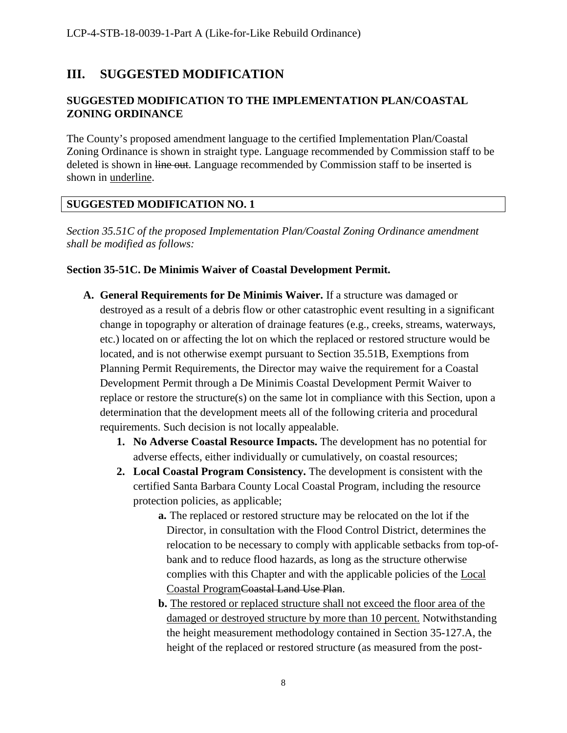## <span id="page-7-0"></span>**III. SUGGESTED MODIFICATION**

## **SUGGESTED MODIFICATION TO THE IMPLEMENTATION PLAN/COASTAL ZONING ORDINANCE**

The County's proposed amendment language to the certified Implementation Plan/Coastal Zoning Ordinance is shown in straight type. Language recommended by Commission staff to be deleted is shown in line out. Language recommended by Commission staff to be inserted is shown in underline.

## **SUGGESTED MODIFICATION NO. 1**

*Section 35.51C of the proposed Implementation Plan/Coastal Zoning Ordinance amendment shall be modified as follows:* 

## **Section 35-51C. De Minimis Waiver of Coastal Development Permit.**

- **A. General Requirements for De Minimis Waiver.** If a structure was damaged or destroyed as a result of a debris flow or other catastrophic event resulting in a significant change in topography or alteration of drainage features (e.g., creeks, streams, waterways, etc.) located on or affecting the lot on which the replaced or restored structure would be located, and is not otherwise exempt pursuant to Section 35.51B, Exemptions from Planning Permit Requirements, the Director may waive the requirement for a Coastal Development Permit through a De Minimis Coastal Development Permit Waiver to replace or restore the structure(s) on the same lot in compliance with this Section, upon a determination that the development meets all of the following criteria and procedural requirements. Such decision is not locally appealable.
	- **1. No Adverse Coastal Resource Impacts.** The development has no potential for adverse effects, either individually or cumulatively, on coastal resources;
	- **2. Local Coastal Program Consistency.** The development is consistent with the certified Santa Barbara County Local Coastal Program, including the resource protection policies, as applicable;
		- **a.** The replaced or restored structure may be relocated on the lot if the Director, in consultation with the Flood Control District, determines the relocation to be necessary to comply with applicable setbacks from top-ofbank and to reduce flood hazards, as long as the structure otherwise complies with this Chapter and with the applicable policies of the Local Coastal ProgramCoastal Land Use Plan.
		- **b.** The restored or replaced structure shall not exceed the floor area of the damaged or destroyed structure by more than 10 percent. Notwithstanding the height measurement methodology contained in Section 35-127.A, the height of the replaced or restored structure (as measured from the post-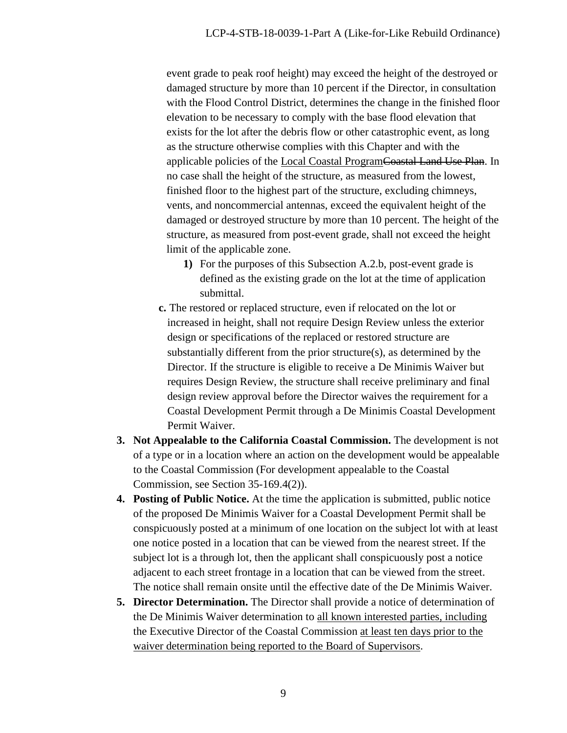event grade to peak roof height) may exceed the height of the destroyed or damaged structure by more than 10 percent if the Director, in consultation with the Flood Control District, determines the change in the finished floor elevation to be necessary to comply with the base flood elevation that exists for the lot after the debris flow or other catastrophic event, as long as the structure otherwise complies with this Chapter and with the applicable policies of the Local Coastal ProgramCoastal Land Use Plan. In no case shall the height of the structure, as measured from the lowest, finished floor to the highest part of the structure, excluding chimneys, vents, and noncommercial antennas, exceed the equivalent height of the damaged or destroyed structure by more than 10 percent. The height of the structure, as measured from post-event grade, shall not exceed the height limit of the applicable zone.

- **1)** For the purposes of this Subsection A.2.b, post-event grade is defined as the existing grade on the lot at the time of application submittal.
- **c.** The restored or replaced structure, even if relocated on the lot or increased in height, shall not require Design Review unless the exterior design or specifications of the replaced or restored structure are substantially different from the prior structure(s), as determined by the Director. If the structure is eligible to receive a De Minimis Waiver but requires Design Review, the structure shall receive preliminary and final design review approval before the Director waives the requirement for a Coastal Development Permit through a De Minimis Coastal Development Permit Waiver.
- **3. Not Appealable to the California Coastal Commission.** The development is not of a type or in a location where an action on the development would be appealable to the Coastal Commission (For development appealable to the Coastal Commission, see Section 35-169.4(2)).
- **4. Posting of Public Notice.** At the time the application is submitted, public notice of the proposed De Minimis Waiver for a Coastal Development Permit shall be conspicuously posted at a minimum of one location on the subject lot with at least one notice posted in a location that can be viewed from the nearest street. If the subject lot is a through lot, then the applicant shall conspicuously post a notice adjacent to each street frontage in a location that can be viewed from the street. The notice shall remain onsite until the effective date of the De Minimis Waiver.
- **5. Director Determination.** The Director shall provide a notice of determination of the De Minimis Waiver determination to all known interested parties, including the Executive Director of the Coastal Commission at least ten days prior to the waiver determination being reported to the Board of Supervisors.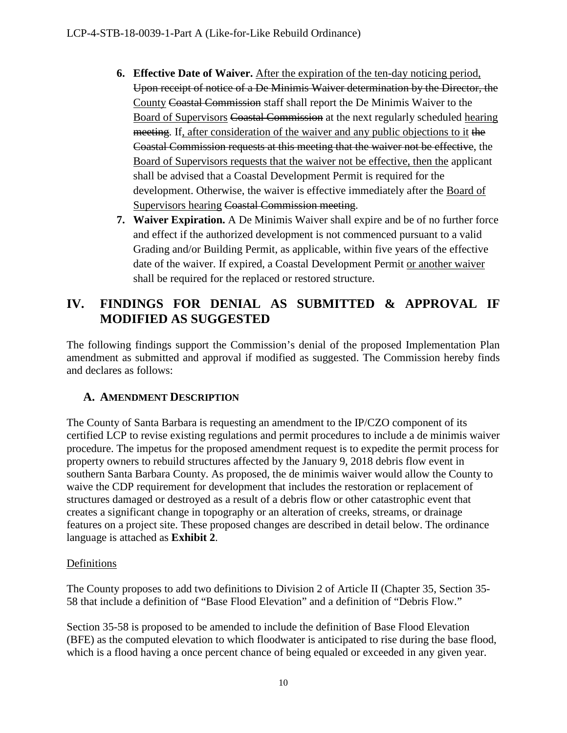- **6. Effective Date of Waiver.** After the expiration of the ten-day noticing period, Upon receipt of notice of a De Minimis Waiver determination by the Director, the County Coastal Commission staff shall report the De Minimis Waiver to the Board of Supervisors Coastal Commission at the next regularly scheduled hearing meeting. If, after consideration of the waiver and any public objections to it the Coastal Commission requests at this meeting that the waiver not be effective, the Board of Supervisors requests that the waiver not be effective, then the applicant shall be advised that a Coastal Development Permit is required for the development. Otherwise, the waiver is effective immediately after the Board of Supervisors hearing Coastal Commission meeting.
- **7. Waiver Expiration.** A De Minimis Waiver shall expire and be of no further force and effect if the authorized development is not commenced pursuant to a valid Grading and/or Building Permit, as applicable, within five years of the effective date of the waiver. If expired, a Coastal Development Permit or another waiver shall be required for the replaced or restored structure.

## <span id="page-9-0"></span>**IV. FINDINGS FOR DENIAL AS SUBMITTED & APPROVAL IF MODIFIED AS SUGGESTED**

The following findings support the Commission's denial of the proposed Implementation Plan amendment as submitted and approval if modified as suggested. The Commission hereby finds and declares as follows:

## <span id="page-9-1"></span>**A. AMENDMENT DESCRIPTION**

The County of Santa Barbara is requesting an amendment to the IP/CZO component of its certified LCP to revise existing regulations and permit procedures to include a de minimis waiver procedure. The impetus for the proposed amendment request is to expedite the permit process for property owners to rebuild structures affected by the January 9, 2018 debris flow event in southern Santa Barbara County. As proposed, the de minimis waiver would allow the County to waive the CDP requirement for development that includes the restoration or replacement of structures damaged or destroyed as a result of a debris flow or other catastrophic event that creates a significant change in topography or an alteration of creeks, streams, or drainage features on a project site. These proposed changes are described in detail below. The ordinance language is attached as **Exhibit 2**.

## Definitions

The County proposes to add two definitions to Division 2 of Article II (Chapter 35, Section 35- 58 that include a definition of "Base Flood Elevation" and a definition of "Debris Flow."

Section 35-58 is proposed to be amended to include the definition of Base Flood Elevation (BFE) as the computed elevation to which floodwater is anticipated to rise during the base flood, which is a flood having a once percent chance of being equaled or exceeded in any given year.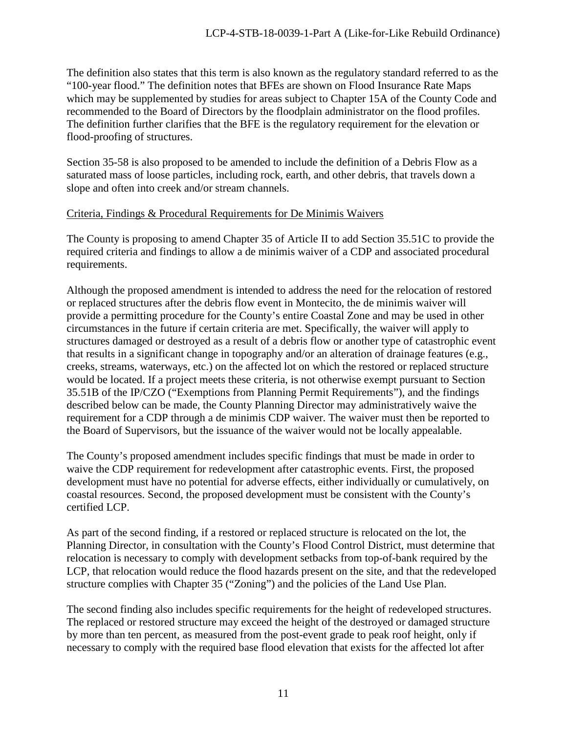The definition also states that this term is also known as the regulatory standard referred to as the "100-year flood." The definition notes that BFEs are shown on Flood Insurance Rate Maps which may be supplemented by studies for areas subject to Chapter 15A of the County Code and recommended to the Board of Directors by the floodplain administrator on the flood profiles. The definition further clarifies that the BFE is the regulatory requirement for the elevation or flood-proofing of structures.

Section 35-58 is also proposed to be amended to include the definition of a Debris Flow as a saturated mass of loose particles, including rock, earth, and other debris, that travels down a slope and often into creek and/or stream channels.

## Criteria, Findings & Procedural Requirements for De Minimis Waivers

The County is proposing to amend Chapter 35 of Article II to add Section 35.51C to provide the required criteria and findings to allow a de minimis waiver of a CDP and associated procedural requirements.

Although the proposed amendment is intended to address the need for the relocation of restored or replaced structures after the debris flow event in Montecito, the de minimis waiver will provide a permitting procedure for the County's entire Coastal Zone and may be used in other circumstances in the future if certain criteria are met. Specifically, the waiver will apply to structures damaged or destroyed as a result of a debris flow or another type of catastrophic event that results in a significant change in topography and/or an alteration of drainage features (e.g., creeks, streams, waterways, etc.) on the affected lot on which the restored or replaced structure would be located. If a project meets these criteria, is not otherwise exempt pursuant to Section 35.51B of the IP/CZO ("Exemptions from Planning Permit Requirements"), and the findings described below can be made, the County Planning Director may administratively waive the requirement for a CDP through a de minimis CDP waiver. The waiver must then be reported to the Board of Supervisors, but the issuance of the waiver would not be locally appealable.

The County's proposed amendment includes specific findings that must be made in order to waive the CDP requirement for redevelopment after catastrophic events. First, the proposed development must have no potential for adverse effects, either individually or cumulatively, on coastal resources. Second, the proposed development must be consistent with the County's certified LCP.

As part of the second finding, if a restored or replaced structure is relocated on the lot, the Planning Director, in consultation with the County's Flood Control District, must determine that relocation is necessary to comply with development setbacks from top-of-bank required by the LCP, that relocation would reduce the flood hazards present on the site, and that the redeveloped structure complies with Chapter 35 ("Zoning") and the policies of the Land Use Plan.

The second finding also includes specific requirements for the height of redeveloped structures. The replaced or restored structure may exceed the height of the destroyed or damaged structure by more than ten percent, as measured from the post-event grade to peak roof height, only if necessary to comply with the required base flood elevation that exists for the affected lot after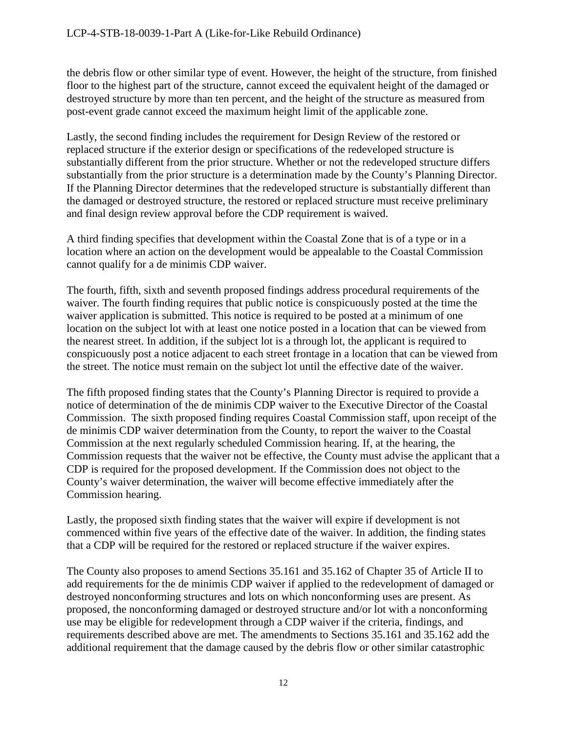the debris flow or other similar type of event. However, the height of the structure, from finished floor to the highest part of the structure, cannot exceed the equivalent height of the damaged or destroyed structure by more than ten percent, and the height of the structure as measured from post-event grade cannot exceed the maximum height limit of the applicable zone.

Lastly, the second finding includes the requirement for Design Review of the restored or replaced structure if the exterior design or specifications of the redeveloped structure is substantially different from the prior structure. Whether or not the redeveloped structure differs substantially from the prior structure is a determination made by the County's Planning Director. If the Planning Director determines that the redeveloped structure is substantially different than the damaged or destroyed structure, the restored or replaced structure must receive preliminary and final design review approval before the CDP requirement is waived.

A third finding specifies that development within the Coastal Zone that is of a type or in a location where an action on the development would be appealable to the Coastal Commission cannot qualify for a de minimis CDP waiver.

The fourth, fifth, sixth and seventh proposed findings address procedural requirements of the waiver. The fourth finding requires that public notice is conspicuously posted at the time the waiver application is submitted. This notice is required to be posted at a minimum of one location on the subject lot with at least one notice posted in a location that can be viewed from the nearest street. In addition, if the subject lot is a through lot, the applicant is required to conspicuously post a notice adjacent to each street frontage in a location that can be viewed from the street. The notice must remain on the subject lot until the effective date of the waiver.

The fifth proposed finding states that the County's Planning Director is required to provide a notice of determination of the de minimis CDP waiver to the Executive Director of the Coastal Commission. The sixth proposed finding requires Coastal Commission staff, upon receipt of the de minimis CDP waiver determination from the County, to report the waiver to the Coastal Commission at the next regularly scheduled Commission hearing. If, at the hearing, the Commission requests that the waiver not be effective, the County must advise the applicant that a CDP is required for the proposed development. If the Commission does not object to the County's waiver determination, the waiver will become effective immediately after the Commission hearing.

Lastly, the proposed sixth finding states that the waiver will expire if development is not commenced within five years of the effective date of the waiver. In addition, the finding states that a CDP will be required for the restored or replaced structure if the waiver expires.

The County also proposes to amend Sections 35.161 and 35.162 of Chapter 35 of Article II to add requirements for the de minimis CDP waiver if applied to the redevelopment of damaged or destroyed nonconforming structures and lots on which nonconforming uses are present. As proposed, the nonconforming damaged or destroyed structure and/or lot with a nonconforming use may be eligible for redevelopment through a CDP waiver if the criteria, findings, and requirements described above are met. The amendments to Sections 35.161 and 35.162 add the additional requirement that the damage caused by the debris flow or other similar catastrophic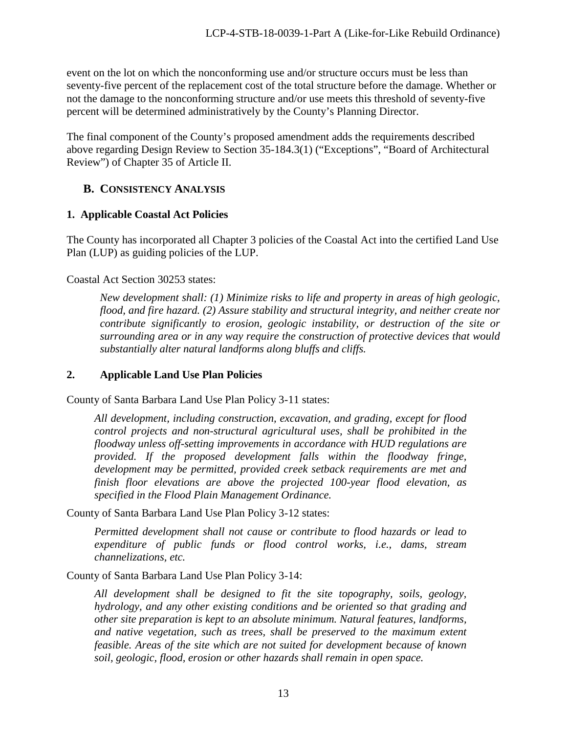event on the lot on which the nonconforming use and/or structure occurs must be less than seventy-five percent of the replacement cost of the total structure before the damage. Whether or not the damage to the nonconforming structure and/or use meets this threshold of seventy-five percent will be determined administratively by the County's Planning Director.

The final component of the County's proposed amendment adds the requirements described above regarding Design Review to Section 35-184.3(1) ("Exceptions", "Board of Architectural Review") of Chapter 35 of Article II.

## <span id="page-12-0"></span>**B. CONSISTENCY ANALYSIS**

## **1. Applicable Coastal Act Policies**

The County has incorporated all Chapter 3 policies of the Coastal Act into the certified Land Use Plan (LUP) as guiding policies of the LUP.

Coastal Act Section 30253 states:

*New development shall: (1) Minimize risks to life and property in areas of high geologic, flood, and fire hazard. (2) Assure stability and structural integrity, and neither create nor contribute significantly to erosion, geologic instability, or destruction of the site or surrounding area or in any way require the construction of protective devices that would substantially alter natural landforms along bluffs and cliffs.* 

## **2. Applicable Land Use Plan Policies**

County of Santa Barbara Land Use Plan Policy 3-11 states:

*All development, including construction, excavation, and grading, except for flood control projects and non-structural agricultural uses, shall be prohibited in the floodway unless off-setting improvements in accordance with HUD regulations are provided. If the proposed development falls within the floodway fringe, development may be permitted, provided creek setback requirements are met and finish floor elevations are above the projected 100-year flood elevation, as specified in the Flood Plain Management Ordinance.* 

County of Santa Barbara Land Use Plan Policy 3-12 states:

*Permitted development shall not cause or contribute to flood hazards or lead to expenditure of public funds or flood control works, i.e., dams, stream channelizations, etc.* 

County of Santa Barbara Land Use Plan Policy 3-14:

*All development shall be designed to fit the site topography, soils, geology, hydrology, and any other existing conditions and be oriented so that grading and other site preparation is kept to an absolute minimum. Natural features, landforms, and native vegetation, such as trees, shall be preserved to the maximum extent feasible. Areas of the site which are not suited for development because of known soil, geologic, flood, erosion or other hazards shall remain in open space.*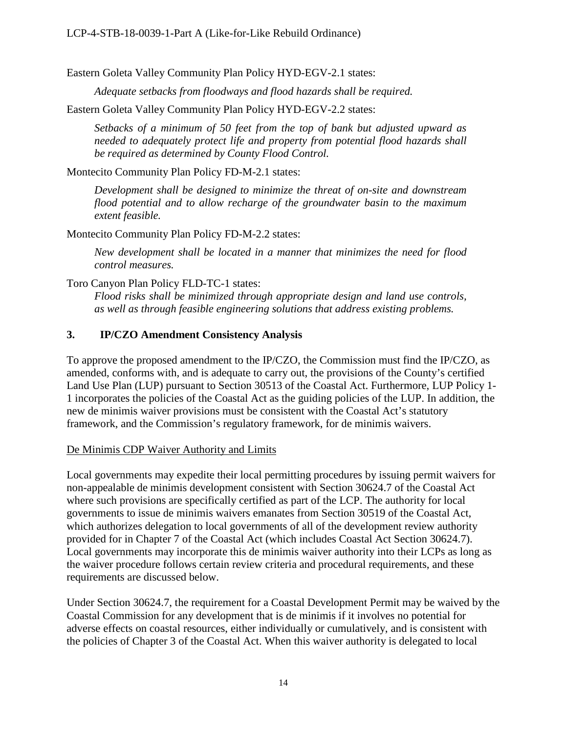Eastern Goleta Valley Community Plan Policy HYD-EGV-2.1 states:

*Adequate setbacks from floodways and flood hazards shall be required.*

Eastern Goleta Valley Community Plan Policy HYD-EGV-2.2 states:

*Setbacks of a minimum of 50 feet from the top of bank but adjusted upward as needed to adequately protect life and property from potential flood hazards shall be required as determined by County Flood Control.* 

Montecito Community Plan Policy FD-M-2.1 states:

*Development shall be designed to minimize the threat of on-site and downstream flood potential and to allow recharge of the groundwater basin to the maximum extent feasible.* 

Montecito Community Plan Policy FD-M-2.2 states:

*New development shall be located in a manner that minimizes the need for flood control measures.* 

Toro Canyon Plan Policy FLD-TC-1 states:

*Flood risks shall be minimized through appropriate design and land use controls, as well as through feasible engineering solutions that address existing problems.*

## **3. IP/CZO Amendment Consistency Analysis**

To approve the proposed amendment to the IP/CZO, the Commission must find the IP/CZO, as amended, conforms with, and is adequate to carry out, the provisions of the County's certified Land Use Plan (LUP) pursuant to Section 30513 of the Coastal Act. Furthermore, LUP Policy 1- 1 incorporates the policies of the Coastal Act as the guiding policies of the LUP. In addition, the new de minimis waiver provisions must be consistent with the Coastal Act's statutory framework, and the Commission's regulatory framework, for de minimis waivers.

## De Minimis CDP Waiver Authority and Limits

Local governments may expedite their local permitting procedures by issuing permit waivers for non-appealable de minimis development consistent with Section 30624.7 of the Coastal Act where such provisions are specifically certified as part of the LCP. The authority for local governments to issue de minimis waivers emanates from Section 30519 of the Coastal Act, which authorizes delegation to local governments of all of the development review authority provided for in Chapter 7 of the Coastal Act (which includes Coastal Act Section 30624.7). Local governments may incorporate this de minimis waiver authority into their LCPs as long as the waiver procedure follows certain review criteria and procedural requirements, and these requirements are discussed below.

Under Section 30624.7, the requirement for a Coastal Development Permit may be waived by the Coastal Commission for any development that is de minimis if it involves no potential for adverse effects on coastal resources, either individually or cumulatively, and is consistent with the policies of Chapter 3 of the Coastal Act. When this waiver authority is delegated to local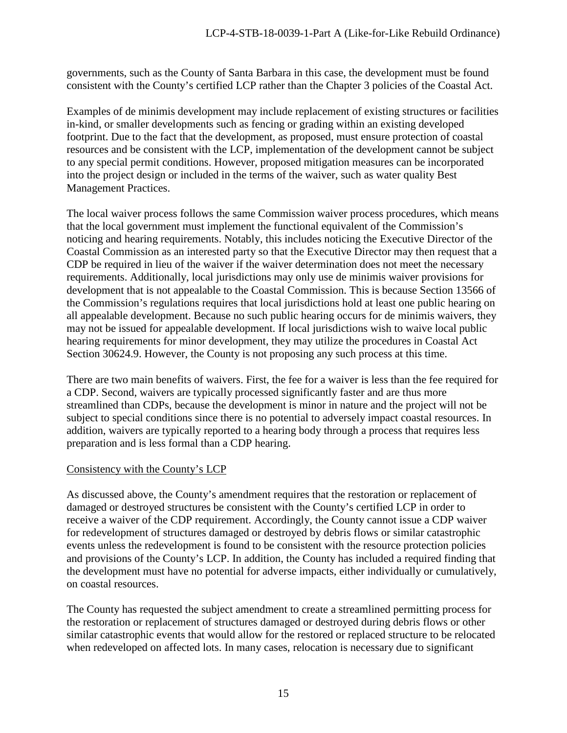governments, such as the County of Santa Barbara in this case, the development must be found consistent with the County's certified LCP rather than the Chapter 3 policies of the Coastal Act.

Examples of de minimis development may include replacement of existing structures or facilities in-kind, or smaller developments such as fencing or grading within an existing developed footprint. Due to the fact that the development, as proposed, must ensure protection of coastal resources and be consistent with the LCP, implementation of the development cannot be subject to any special permit conditions. However, proposed mitigation measures can be incorporated into the project design or included in the terms of the waiver, such as water quality Best Management Practices.

The local waiver process follows the same Commission waiver process procedures, which means that the local government must implement the functional equivalent of the Commission's noticing and hearing requirements. Notably, this includes noticing the Executive Director of the Coastal Commission as an interested party so that the Executive Director may then request that a CDP be required in lieu of the waiver if the waiver determination does not meet the necessary requirements. Additionally, local jurisdictions may only use de minimis waiver provisions for development that is not appealable to the Coastal Commission. This is because Section 13566 of the Commission's regulations requires that local jurisdictions hold at least one public hearing on all appealable development. Because no such public hearing occurs for de minimis waivers, they may not be issued for appealable development. If local jurisdictions wish to waive local public hearing requirements for minor development, they may utilize the procedures in Coastal Act Section 30624.9. However, the County is not proposing any such process at this time.

There are two main benefits of waivers. First, the fee for a waiver is less than the fee required for a CDP. Second, waivers are typically processed significantly faster and are thus more streamlined than CDPs, because the development is minor in nature and the project will not be subject to special conditions since there is no potential to adversely impact coastal resources. In addition, waivers are typically reported to a hearing body through a process that requires less preparation and is less formal than a CDP hearing.

## Consistency with the County's LCP

As discussed above, the County's amendment requires that the restoration or replacement of damaged or destroyed structures be consistent with the County's certified LCP in order to receive a waiver of the CDP requirement. Accordingly, the County cannot issue a CDP waiver for redevelopment of structures damaged or destroyed by debris flows or similar catastrophic events unless the redevelopment is found to be consistent with the resource protection policies and provisions of the County's LCP. In addition, the County has included a required finding that the development must have no potential for adverse impacts, either individually or cumulatively, on coastal resources.

The County has requested the subject amendment to create a streamlined permitting process for the restoration or replacement of structures damaged or destroyed during debris flows or other similar catastrophic events that would allow for the restored or replaced structure to be relocated when redeveloped on affected lots. In many cases, relocation is necessary due to significant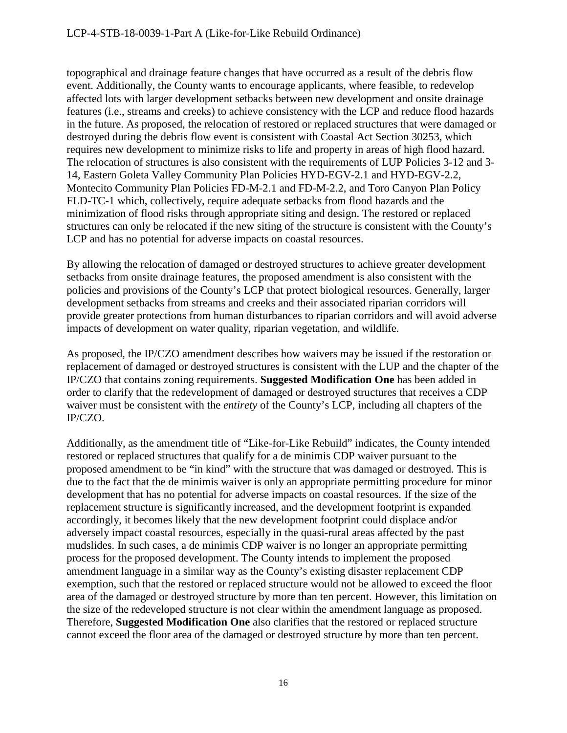topographical and drainage feature changes that have occurred as a result of the debris flow event. Additionally, the County wants to encourage applicants, where feasible, to redevelop affected lots with larger development setbacks between new development and onsite drainage features (i.e., streams and creeks) to achieve consistency with the LCP and reduce flood hazards in the future. As proposed, the relocation of restored or replaced structures that were damaged or destroyed during the debris flow event is consistent with Coastal Act Section 30253, which requires new development to minimize risks to life and property in areas of high flood hazard. The relocation of structures is also consistent with the requirements of LUP Policies 3-12 and 3- 14, Eastern Goleta Valley Community Plan Policies HYD-EGV-2.1 and HYD-EGV-2.2, Montecito Community Plan Policies FD-M-2.1 and FD-M-2.2, and Toro Canyon Plan Policy FLD-TC-1 which, collectively, require adequate setbacks from flood hazards and the minimization of flood risks through appropriate siting and design. The restored or replaced structures can only be relocated if the new siting of the structure is consistent with the County's LCP and has no potential for adverse impacts on coastal resources.

By allowing the relocation of damaged or destroyed structures to achieve greater development setbacks from onsite drainage features, the proposed amendment is also consistent with the policies and provisions of the County's LCP that protect biological resources. Generally, larger development setbacks from streams and creeks and their associated riparian corridors will provide greater protections from human disturbances to riparian corridors and will avoid adverse impacts of development on water quality, riparian vegetation, and wildlife.

As proposed, the IP/CZO amendment describes how waivers may be issued if the restoration or replacement of damaged or destroyed structures is consistent with the LUP and the chapter of the IP/CZO that contains zoning requirements. **Suggested Modification One** has been added in order to clarify that the redevelopment of damaged or destroyed structures that receives a CDP waiver must be consistent with the *entirety* of the County's LCP, including all chapters of the IP/CZO.

Additionally, as the amendment title of "Like-for-Like Rebuild" indicates, the County intended restored or replaced structures that qualify for a de minimis CDP waiver pursuant to the proposed amendment to be "in kind" with the structure that was damaged or destroyed. This is due to the fact that the de minimis waiver is only an appropriate permitting procedure for minor development that has no potential for adverse impacts on coastal resources. If the size of the replacement structure is significantly increased, and the development footprint is expanded accordingly, it becomes likely that the new development footprint could displace and/or adversely impact coastal resources, especially in the quasi-rural areas affected by the past mudslides. In such cases, a de minimis CDP waiver is no longer an appropriate permitting process for the proposed development. The County intends to implement the proposed amendment language in a similar way as the County's existing disaster replacement CDP exemption, such that the restored or replaced structure would not be allowed to exceed the floor area of the damaged or destroyed structure by more than ten percent. However, this limitation on the size of the redeveloped structure is not clear within the amendment language as proposed. Therefore, **Suggested Modification One** also clarifies that the restored or replaced structure cannot exceed the floor area of the damaged or destroyed structure by more than ten percent.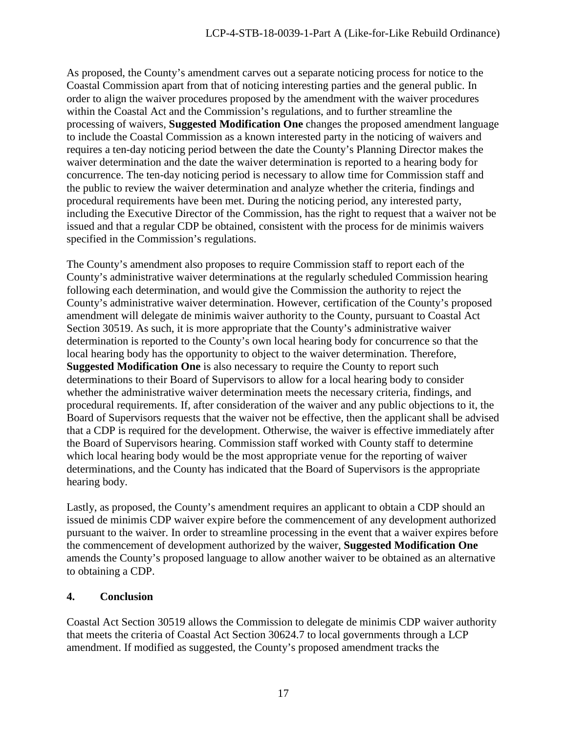As proposed, the County's amendment carves out a separate noticing process for notice to the Coastal Commission apart from that of noticing interesting parties and the general public. In order to align the waiver procedures proposed by the amendment with the waiver procedures within the Coastal Act and the Commission's regulations, and to further streamline the processing of waivers, **Suggested Modification One** changes the proposed amendment language to include the Coastal Commission as a known interested party in the noticing of waivers and requires a ten-day noticing period between the date the County's Planning Director makes the waiver determination and the date the waiver determination is reported to a hearing body for concurrence. The ten-day noticing period is necessary to allow time for Commission staff and the public to review the waiver determination and analyze whether the criteria, findings and procedural requirements have been met. During the noticing period, any interested party, including the Executive Director of the Commission, has the right to request that a waiver not be issued and that a regular CDP be obtained, consistent with the process for de minimis waivers specified in the Commission's regulations.

The County's amendment also proposes to require Commission staff to report each of the County's administrative waiver determinations at the regularly scheduled Commission hearing following each determination, and would give the Commission the authority to reject the County's administrative waiver determination. However, certification of the County's proposed amendment will delegate de minimis waiver authority to the County, pursuant to Coastal Act Section 30519. As such, it is more appropriate that the County's administrative waiver determination is reported to the County's own local hearing body for concurrence so that the local hearing body has the opportunity to object to the waiver determination. Therefore, **Suggested Modification One** is also necessary to require the County to report such determinations to their Board of Supervisors to allow for a local hearing body to consider whether the administrative waiver determination meets the necessary criteria, findings, and procedural requirements. If, after consideration of the waiver and any public objections to it, the Board of Supervisors requests that the waiver not be effective, then the applicant shall be advised that a CDP is required for the development. Otherwise, the waiver is effective immediately after the Board of Supervisors hearing. Commission staff worked with County staff to determine which local hearing body would be the most appropriate venue for the reporting of waiver determinations, and the County has indicated that the Board of Supervisors is the appropriate hearing body.

Lastly, as proposed, the County's amendment requires an applicant to obtain a CDP should an issued de minimis CDP waiver expire before the commencement of any development authorized pursuant to the waiver. In order to streamline processing in the event that a waiver expires before the commencement of development authorized by the waiver, **Suggested Modification One** amends the County's proposed language to allow another waiver to be obtained as an alternative to obtaining a CDP.

## **4. Conclusion**

Coastal Act Section 30519 allows the Commission to delegate de minimis CDP waiver authority that meets the criteria of Coastal Act Section 30624.7 to local governments through a LCP amendment. If modified as suggested, the County's proposed amendment tracks the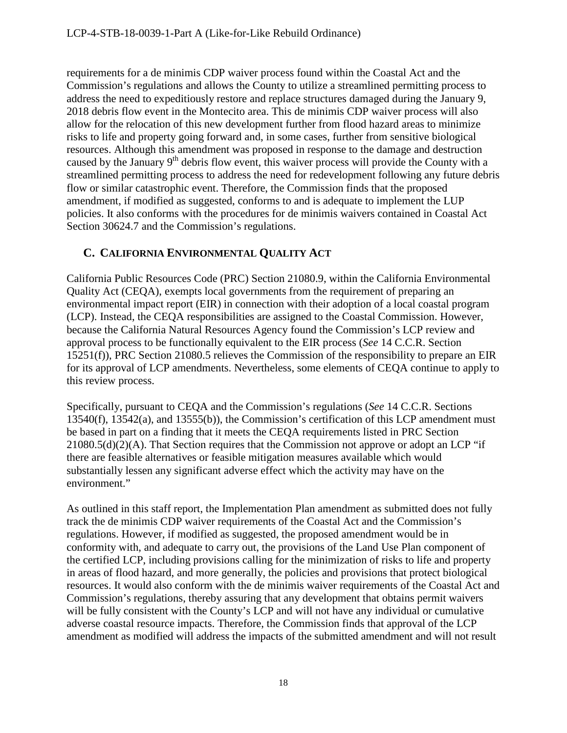requirements for a de minimis CDP waiver process found within the Coastal Act and the Commission's regulations and allows the County to utilize a streamlined permitting process to address the need to expeditiously restore and replace structures damaged during the January 9, 2018 debris flow event in the Montecito area. This de minimis CDP waiver process will also allow for the relocation of this new development further from flood hazard areas to minimize risks to life and property going forward and, in some cases, further from sensitive biological resources. Although this amendment was proposed in response to the damage and destruction caused by the January 9<sup>th</sup> debris flow event, this waiver process will provide the County with a streamlined permitting process to address the need for redevelopment following any future debris flow or similar catastrophic event. Therefore, the Commission finds that the proposed amendment, if modified as suggested, conforms to and is adequate to implement the LUP policies. It also conforms with the procedures for de minimis waivers contained in Coastal Act Section 30624.7 and the Commission's regulations.

## <span id="page-17-0"></span>**C. CALIFORNIA ENVIRONMENTAL QUALITY ACT**

California Public Resources Code (PRC) Section 21080.9, within the California Environmental Quality Act (CEQA), exempts local governments from the requirement of preparing an environmental impact report (EIR) in connection with their adoption of a local coastal program (LCP). Instead, the CEQA responsibilities are assigned to the Coastal Commission. However, because the California Natural Resources Agency found the Commission's LCP review and approval process to be functionally equivalent to the EIR process (*See* 14 C.C.R. Section 15251(f)), PRC Section 21080.5 relieves the Commission of the responsibility to prepare an EIR for its approval of LCP amendments. Nevertheless, some elements of CEQA continue to apply to this review process.

Specifically, pursuant to CEQA and the Commission's regulations (*See* 14 C.C.R. Sections 13540(f), 13542(a), and 13555(b)), the Commission's certification of this LCP amendment must be based in part on a finding that it meets the CEQA requirements listed in PRC Section  $21080.5(d)(2)(A)$ . That Section requires that the Commission not approve or adopt an LCP "if there are feasible alternatives or feasible mitigation measures available which would substantially lessen any significant adverse effect which the activity may have on the environment."

As outlined in this staff report, the Implementation Plan amendment as submitted does not fully track the de minimis CDP waiver requirements of the Coastal Act and the Commission's regulations. However, if modified as suggested, the proposed amendment would be in conformity with, and adequate to carry out, the provisions of the Land Use Plan component of the certified LCP, including provisions calling for the minimization of risks to life and property in areas of flood hazard, and more generally, the policies and provisions that protect biological resources. It would also conform with the de minimis waiver requirements of the Coastal Act and Commission's regulations, thereby assuring that any development that obtains permit waivers will be fully consistent with the County's LCP and will not have any individual or cumulative adverse coastal resource impacts. Therefore, the Commission finds that approval of the LCP amendment as modified will address the impacts of the submitted amendment and will not result